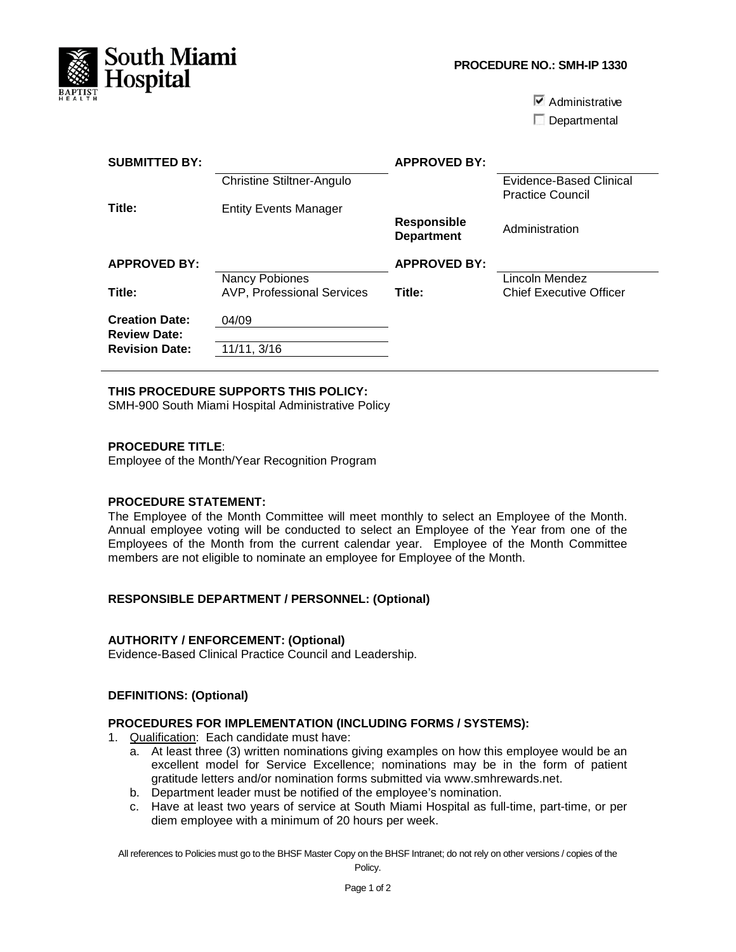

**PROCEDURE NO.: SMH-IP 1330**

 $\overline{\triangledown}$  Administrative

Departmental

| <b>SUBMITTED BY:</b>                         |                                   | <b>APPROVED BY:</b>                     |                                                    |
|----------------------------------------------|-----------------------------------|-----------------------------------------|----------------------------------------------------|
|                                              | <b>Christine Stiltner-Angulo</b>  |                                         | Evidence-Based Clinical<br><b>Practice Council</b> |
| Title:                                       | <b>Entity Events Manager</b>      |                                         |                                                    |
|                                              |                                   | <b>Responsible</b><br><b>Department</b> | Administration                                     |
| <b>APPROVED BY:</b>                          |                                   | <b>APPROVED BY:</b>                     |                                                    |
|                                              | Nancy Pobiones                    |                                         | Lincoln Mendez                                     |
| Title:                                       | <b>AVP, Professional Services</b> | Title:                                  | <b>Chief Executive Officer</b>                     |
| <b>Creation Date:</b>                        | 04/09                             |                                         |                                                    |
| <b>Review Date:</b><br><b>Revision Date:</b> | 11/11, 3/16                       |                                         |                                                    |

## **THIS PROCEDURE SUPPORTS THIS POLICY:**

SMH-900 South Miami Hospital Administrative Policy

### **PROCEDURE TITLE**:

Employee of the Month/Year Recognition Program

### **PROCEDURE STATEMENT:**

The Employee of the Month Committee will meet monthly to select an Employee of the Month. Annual employee voting will be conducted to select an Employee of the Year from one of the Employees of the Month from the current calendar year. Employee of the Month Committee members are not eligible to nominate an employee for Employee of the Month.

### **RESPONSIBLE DEPARTMENT / PERSONNEL: (Optional)**

### **AUTHORITY / ENFORCEMENT: (Optional)**

Evidence-Based Clinical Practice Council and Leadership.

# **DEFINITIONS: (Optional)**

### **PROCEDURES FOR IMPLEMENTATION (INCLUDING FORMS / SYSTEMS):**

1. Qualification: Each candidate must have:

- a. At least three (3) written nominations giving examples on how this employee would be an excellent model for Service Excellence; nominations may be in the form of patient gratitude letters and/or nomination forms submitted via www.smhrewards.net.
- b. Department leader must be notified of the employee's nomination.
- c. Have at least two years of service at South Miami Hospital as full-time, part-time, or per diem employee with a minimum of 20 hours per week.

All references to Policies must go to the BHSF Master Copy on the BHSF Intranet; do not rely on other versions / copies of the